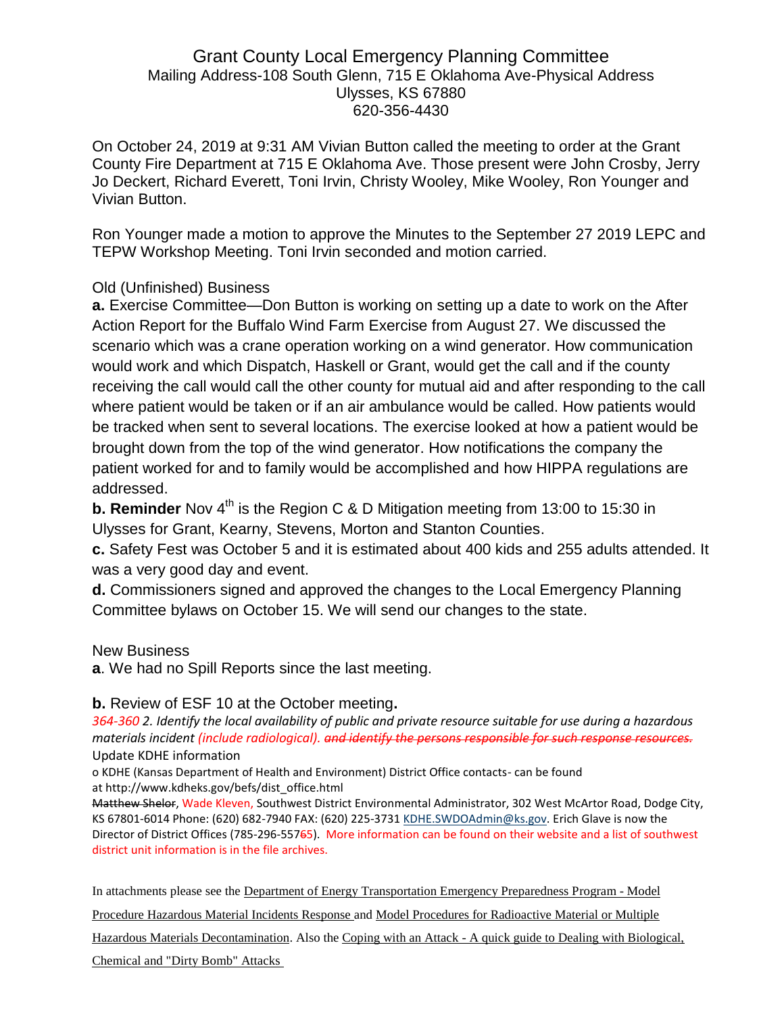# Grant County Local Emergency Planning Committee Mailing Address-108 South Glenn, 715 E Oklahoma Ave-Physical Address Ulysses, KS 67880 620-356-4430

On October 24, 2019 at 9:31 AM Vivian Button called the meeting to order at the Grant County Fire Department at 715 E Oklahoma Ave. Those present were John Crosby, Jerry Jo Deckert, Richard Everett, Toni Irvin, Christy Wooley, Mike Wooley, Ron Younger and Vivian Button.

Ron Younger made a motion to approve the Minutes to the September 27 2019 LEPC and TEPW Workshop Meeting. Toni Irvin seconded and motion carried.

## Old (Unfinished) Business

**a.** Exercise Committee—Don Button is working on setting up a date to work on the After Action Report for the Buffalo Wind Farm Exercise from August 27. We discussed the scenario which was a crane operation working on a wind generator. How communication would work and which Dispatch, Haskell or Grant, would get the call and if the county receiving the call would call the other county for mutual aid and after responding to the call where patient would be taken or if an air ambulance would be called. How patients would be tracked when sent to several locations. The exercise looked at how a patient would be brought down from the top of the wind generator. How notifications the company the patient worked for and to family would be accomplished and how HIPPA regulations are addressed.

**b. Reminder** Nov 4<sup>th</sup> is the Region C & D Mitigation meeting from 13:00 to 15:30 in Ulysses for Grant, Kearny, Stevens, Morton and Stanton Counties.

**c.** Safety Fest was October 5 and it is estimated about 400 kids and 255 adults attended. It was a very good day and event.

**d.** Commissioners signed and approved the changes to the Local Emergency Planning Committee bylaws on October 15. We will send our changes to the state.

#### New Business

**a**. We had no Spill Reports since the last meeting.

#### **b.** Review of ESF 10 at the October meeting**.**

*364-360 2. Identify the local availability of public and private resource suitable for use during a hazardous materials incident (include radiological). and identify the persons responsible for such response resources.* Update KDHE information

o KDHE (Kansas Department of Health and Environment) District Office contacts- can be found at http://www.kdheks.gov/befs/dist\_office.html

Matthew Shelor, Wade Kleven, Southwest District Environmental Administrator, 302 West McArtor Road, Dodge City, KS 67801-6014 Phone: (620) 682-7940 FAX: (620) 225-3731 [KDHE.SWDOAdmin@ks.gov.](mailto:KDHE.SWDOAdmin@ks.gov) Erich Glave is now the Director of District Offices (785-296-55765). More information can be found on their website and a list of southwest district unit information is in the file archives.

In attachments please see the Department of Energy Transportation Emergency Preparedness Program - Model

Procedure Hazardous Material Incidents Response and Model Procedures for Radioactive Material or Multiple

Hazardous Materials Decontamination. Also the Coping with an Attack - A quick guide to Dealing with Biological,

Chemical and "Dirty Bomb" Attacks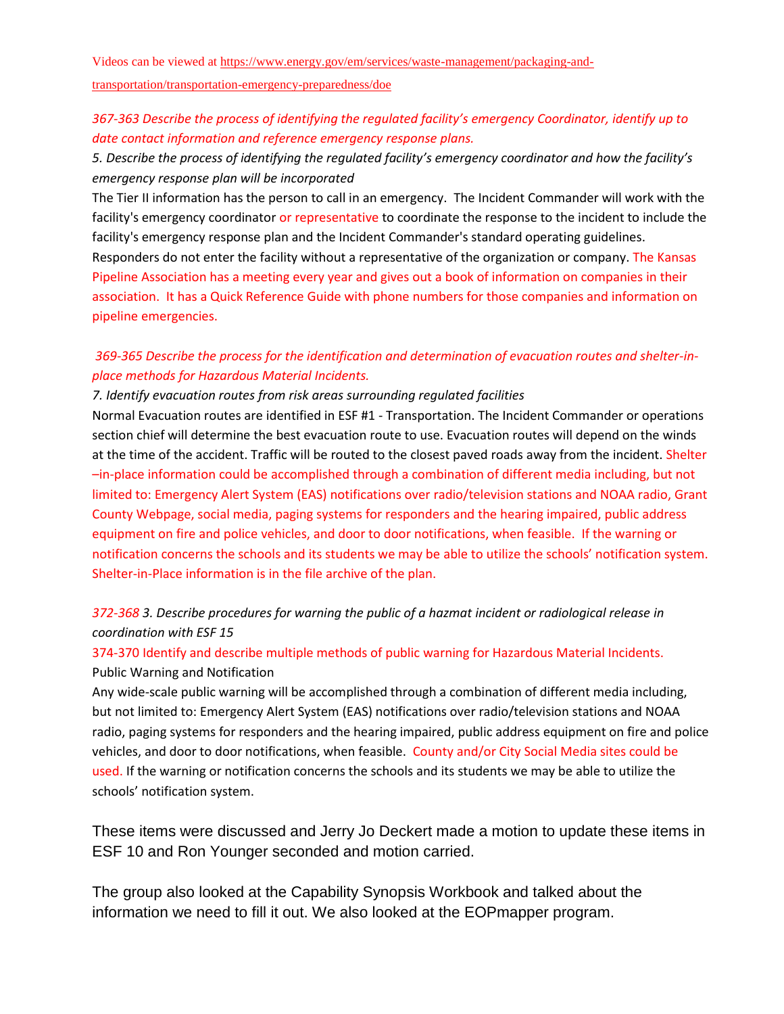Videos can be viewed at [https://www.energy.gov/em/services/waste-management/packaging-and-](https://www.energy.gov/em/services/waste-management/packaging-and-transportation/transportation-emergency-preparedness/doe)

[transportation/transportation-emergency-preparedness/doe](https://www.energy.gov/em/services/waste-management/packaging-and-transportation/transportation-emergency-preparedness/doe)

## *367-363 Describe the process of identifying the regulated facility's emergency Coordinator, identify up to date contact information and reference emergency response plans.*

*5. Describe the process of identifying the regulated facility's emergency coordinator and how the facility's emergency response plan will be incorporated* 

The Tier II information has the person to call in an emergency. The Incident Commander will work with the facility's emergency coordinator or representative to coordinate the response to the incident to include the facility's emergency response plan and the Incident Commander's standard operating guidelines. Responders do not enter the facility without a representative of the organization or company. The Kansas Pipeline Association has a meeting every year and gives out a book of information on companies in their association. It has a Quick Reference Guide with phone numbers for those companies and information on pipeline emergencies.

## *369-365 Describe the process for the identification and determination of evacuation routes and shelter-inplace methods for Hazardous Material Incidents.*

#### *7. Identify evacuation routes from risk areas surrounding regulated facilities*

Normal Evacuation routes are identified in ESF #1 - Transportation. The Incident Commander or operations section chief will determine the best evacuation route to use. Evacuation routes will depend on the winds at the time of the accident. Traffic will be routed to the closest paved roads away from the incident. Shelter –in-place information could be accomplished through a combination of different media including, but not limited to: Emergency Alert System (EAS) notifications over radio/television stations and NOAA radio, Grant County Webpage, social media, paging systems for responders and the hearing impaired, public address equipment on fire and police vehicles, and door to door notifications, when feasible. If the warning or notification concerns the schools and its students we may be able to utilize the schools' notification system. Shelter-in-Place information is in the file archive of the plan.

## *372-368 3. Describe procedures for warning the public of a hazmat incident or radiological release in coordination with ESF 15*

## 374-370 Identify and describe multiple methods of public warning for Hazardous Material Incidents. Public Warning and Notification

Any wide-scale public warning will be accomplished through a combination of different media including, but not limited to: Emergency Alert System (EAS) notifications over radio/television stations and NOAA radio, paging systems for responders and the hearing impaired, public address equipment on fire and police vehicles, and door to door notifications, when feasible. County and/or City Social Media sites could be used. If the warning or notification concerns the schools and its students we may be able to utilize the schools' notification system.

These items were discussed and Jerry Jo Deckert made a motion to update these items in ESF 10 and Ron Younger seconded and motion carried.

The group also looked at the Capability Synopsis Workbook and talked about the information we need to fill it out. We also looked at the EOPmapper program.